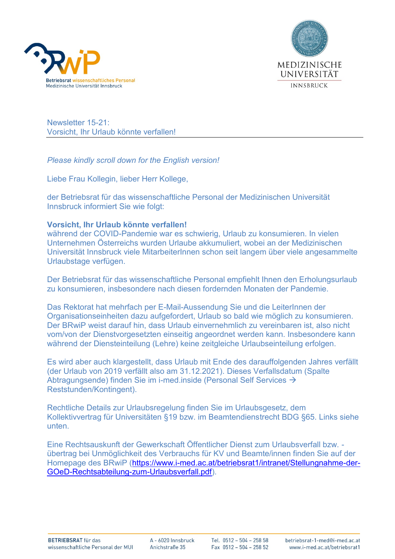



Newsletter 15-21: Vorsicht, Ihr Urlaub könnte verfallen!

*Please kindly scroll down for the English version!*

Liebe Frau Kollegin, lieber Herr Kollege,

der Betriebsrat für das wissenschaftliche Personal der Medizinischen Universität Innsbruck informiert Sie wie folgt:

## **Vorsicht, Ihr Urlaub könnte verfallen!**

während der COVID-Pandemie war es schwierig, Urlaub zu konsumieren. In vielen Unternehmen Österreichs wurden Urlaube akkumuliert, wobei an der Medizinischen Universität Innsbruck viele MitarbeiterInnen schon seit langem über viele angesammelte Urlaubstage verfügen.

Der Betriebsrat für das wissenschaftliche Personal empfiehlt Ihnen den Erholungsurlaub zu konsumieren, insbesondere nach diesen fordernden Monaten der Pandemie.

Das Rektorat hat mehrfach per E-Mail-Aussendung Sie und die LeiterInnen der Organisationseinheiten dazu aufgefordert, Urlaub so bald wie möglich zu konsumieren. Der BRwiP weist darauf hin, dass Urlaub einvernehmlich zu vereinbaren ist, also nicht vom/von der Dienstvorgesetzten einseitig angeordnet werden kann. Insbesondere kann während der Diensteinteilung (Lehre) keine zeitgleiche Urlaubseinteilung erfolgen.

Es wird aber auch klargestellt, dass Urlaub mit Ende des darauffolgenden Jahres verfällt (der Urlaub von 2019 verfällt also am 31.12.2021). Dieses Verfallsdatum (Spalte Abtragungsende) finden Sie im i-med.inside (Personal Self Services → Reststunden/Kontingent).

Rechtliche Details zur Urlaubsregelung finden Sie im Urlaubsgesetz, dem Kollektivvertrag für Universitäten §19 bzw. im Beamtendienstrecht BDG §65. Links siehe unten.

Eine Rechtsauskunft der Gewerkschaft Öffentlicher Dienst zum Urlaubsverfall bzw. übertrag bei Unmöglichkeit des Verbrauchs für KV und Beamte/innen finden Sie auf der Homepage des BRwiP [\(https://www.i-med.ac.at/betriebsrat1/intranet/Stellungnahme-der-](https://www.i-med.ac.at/betriebsrat1/intranet/Stellungnahme-der-GOeD-Rechtsabteilung-zum-Urlaubsverfall.pdf)[GOeD-Rechtsabteilung-zum-Urlaubsverfall.pdf\)](https://www.i-med.ac.at/betriebsrat1/intranet/Stellungnahme-der-GOeD-Rechtsabteilung-zum-Urlaubsverfall.pdf).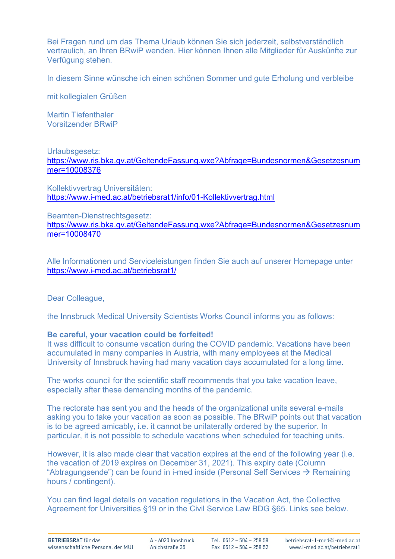Bei Fragen rund um das Thema Urlaub können Sie sich jederzeit, selbstverständlich vertraulich, an Ihren BRwiP wenden. Hier können Ihnen alle Mitglieder für Auskünfte zur Verfügung stehen.

In diesem Sinne wünsche ich einen schönen Sommer und gute Erholung und verbleibe

mit kollegialen Grüßen

Martin Tiefenthaler Vorsitzender BRwiP

## Urlaubsgesetz: [https://www.ris.bka.gv.at/GeltendeFassung.wxe?Abfrage=Bundesnormen&Gesetzesnum](https://www.ris.bka.gv.at/GeltendeFassung.wxe?Abfrage=Bundesnormen&Gesetzesnummer=10008376) [mer=10008376](https://www.ris.bka.gv.at/GeltendeFassung.wxe?Abfrage=Bundesnormen&Gesetzesnummer=10008376)

Kollektivvertrag Universitäten: <https://www.i-med.ac.at/betriebsrat1/info/01-Kollektivvertrag.html>

Beamten-Dienstrechtsgesetz:

[https://www.ris.bka.gv.at/GeltendeFassung.wxe?Abfrage=Bundesnormen&Gesetzesnum](https://www.ris.bka.gv.at/GeltendeFassung.wxe?Abfrage=Bundesnormen&Gesetzesnummer=10008470) [mer=10008470](https://www.ris.bka.gv.at/GeltendeFassung.wxe?Abfrage=Bundesnormen&Gesetzesnummer=10008470)

Alle Informationen und Serviceleistungen finden Sie auch auf unserer Homepage unter <https://www.i-med.ac.at/betriebsrat1/>

Dear Colleague,

the Innsbruck Medical University Scientists Works Council informs you as follows:

## **Be careful, your vacation could be forfeited!**

It was difficult to consume vacation during the COVID pandemic. Vacations have been accumulated in many companies in Austria, with many employees at the Medical University of Innsbruck having had many vacation days accumulated for a long time.

The works council for the scientific staff recommends that you take vacation leave, especially after these demanding months of the pandemic.

The rectorate has sent you and the heads of the organizational units several e-mails asking you to take your vacation as soon as possible. The BRwiP points out that vacation is to be agreed amicably, i.e. it cannot be unilaterally ordered by the superior. In particular, it is not possible to schedule vacations when scheduled for teaching units.

However, it is also made clear that vacation expires at the end of the following year (i.e. the vacation of 2019 expires on December 31, 2021). This expiry date (Column "Abtragungsende") can be found in i-med inside (Personal Self Services  $\rightarrow$  Remaining hours / contingent).

You can find legal details on vacation regulations in the Vacation Act, the Collective Agreement for Universities §19 or in the Civil Service Law BDG §65. Links see below.